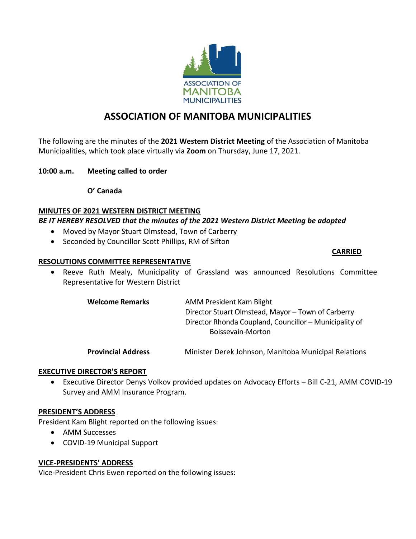

# **ASSOCIATION OF MANITOBA MUNICIPALITIES**

The following are the minutes of the **2021 Western District Meeting** of the Association of Manitoba Municipalities, which took place virtually via **Zoom** on Thursday, June 17, 2021.

#### **10:00 a.m. Meeting called to order**

**O' Canada** 

#### **MINUTES OF 2021 WESTERN DISTRICT MEETING**

# *BE IT HEREBY RESOLVED that the minutes of the 2021 Western District Meeting be adopted*

- Moved by Mayor Stuart Olmstead, Town of Carberry
- Seconded by Councillor Scott Phillips, RM of Sifton

#### **CARRIED**

#### **RESOLUTIONS COMMITTEE REPRESENTATIVE**

• Reeve Ruth Mealy, Municipality of Grassland was announced Resolutions Committee Representative for Western District

> **Welcome Remarks AMM President Kam Blight** Director Stuart Olmstead, Mayor – Town of Carberry Director Rhonda Coupland, Councillor – Municipality of Boissevain-Morton

> **Provincial Address** Minister Derek Johnson, Manitoba Municipal Relations

#### **EXECUTIVE DIRECTOR'S REPORT**

• Executive Director Denys Volkov provided updates on Advocacy Efforts – Bill C-21, AMM COVID-19 Survey and AMM Insurance Program.

#### **PRESIDENT'S ADDRESS**

President Kam Blight reported on the following issues:

- AMM Successes
- COVID-19 Municipal Support

#### **VICE-PRESIDENTS' ADDRESS**

Vice-President Chris Ewen reported on the following issues: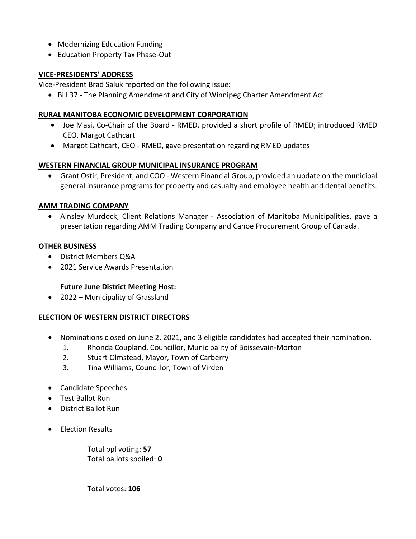- Modernizing Education Funding
- Education Property Tax Phase-Out

# **VICE-PRESIDENTS' ADDRESS**

Vice-President Brad Saluk reported on the following issue:

• Bill 37 - The Planning Amendment and City of Winnipeg Charter Amendment Act

# **RURAL MANITOBA ECONOMIC DEVELOPMENT CORPORATION**

- Joe Masi, Co-Chair of the Board RMED, provided a short profile of RMED; introduced RMED CEO, Margot Cathcart
- Margot Cathcart, CEO RMED, gave presentation regarding RMED updates

# **WESTERN FINANCIAL GROUP MUNICIPAL INSURANCE PROGRAM**

• Grant Ostir, President, and COO - Western Financial Group, provided an update on the municipal general insurance programs for property and casualty and employee health and dental benefits.

# **AMM TRADING COMPANY**

• Ainsley Murdock, Client Relations Manager - Association of Manitoba Municipalities, gave a presentation regarding AMM Trading Company and Canoe Procurement Group of Canada.

# **OTHER BUSINESS**

- District Members Q&A
- 2021 Service Awards Presentation

# **Future June District Meeting Host:**

• 2022 – Municipality of Grassland

# **ELECTION OF WESTERN DISTRICT DIRECTORS**

- Nominations closed on June 2, 2021, and 3 eligible candidates had accepted their nomination.
	- 1. Rhonda Coupland, Councillor, Municipality of Boissevain-Morton
	- 2. Stuart Olmstead, Mayor, Town of Carberry
	- 3. Tina Williams, Councillor, Town of Virden
- Candidate Speeches
- Test Ballot Run
- District Ballot Run
- Election Results

Total ppl voting: **57** Total ballots spoiled: **0**

Total votes: **106**